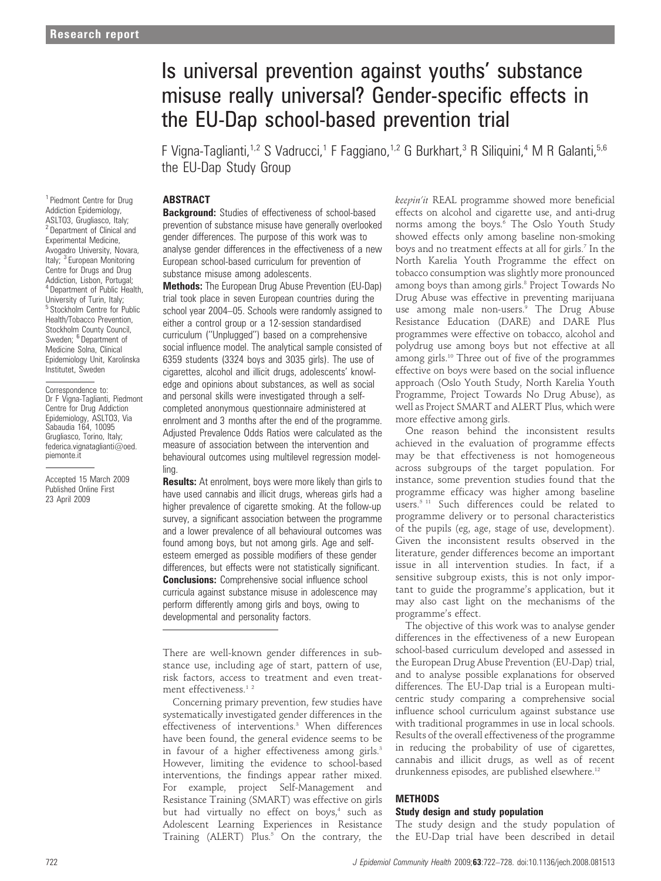# Is universal prevention against youths' substance misuse really universal? Gender-specific effects in the EU-Dap school-based prevention trial

F Vigna-Taglianti,<sup>1,2</sup> S Vadrucci,<sup>1</sup> F Faggiano,<sup>1,2</sup> G Burkhart,<sup>3</sup> R Siliquini,<sup>4</sup> M R Galanti,<sup>5,6</sup> the EU-Dap Study Group

## **ABSTRACT**

**Background:** Studies of effectiveness of school-based prevention of substance misuse have generally overlooked gender differences. The purpose of this work was to analyse gender differences in the effectiveness of a new European school-based curriculum for prevention of substance misuse among adolescents.

Methods: The European Drug Abuse Prevention (EU-Dap) trial took place in seven European countries during the school year 2004–05. Schools were randomly assigned to either a control group or a 12-session standardised curriculum (''Unplugged'') based on a comprehensive social influence model. The analytical sample consisted of 6359 students (3324 boys and 3035 girls). The use of cigarettes, alcohol and illicit drugs, adolescents' knowledge and opinions about substances, as well as social and personal skills were investigated through a selfcompleted anonymous questionnaire administered at enrolment and 3 months after the end of the programme. Adjusted Prevalence Odds Ratios were calculated as the measure of association between the intervention and behavioural outcomes using multilevel regression modelling.

**Results:** At enrolment, boys were more likely than girls to have used cannabis and illicit drugs, whereas girls had a higher prevalence of cigarette smoking. At the follow-up survey, a significant association between the programme and a lower prevalence of all behavioural outcomes was found among boys, but not among girls. Age and selfesteem emerged as possible modifiers of these gender differences, but effects were not statistically significant. **Conclusions:** Comprehensive social influence school curricula against substance misuse in adolescence may perform differently among girls and boys, owing to developmental and personality factors.

There are well-known gender differences in substance use, including age of start, pattern of use, risk factors, access to treatment and even treatment effectiveness.<sup>12</sup>

Concerning primary prevention, few studies have systematically investigated gender differences in the effectiveness of interventions.<sup>3</sup> When differences have been found, the general evidence seems to be in favour of a higher effectiveness among girls.<sup>3</sup> However, limiting the evidence to school-based interventions, the findings appear rather mixed. For example, project Self-Management and Resistance Training (SMART) was effective on girls but had virtually no effect on boys,<sup>4</sup> such as Adolescent Learning Experiences in Resistance Training (ALERT) Plus.<sup>5</sup> On the contrary, the keepin'it REAL programme showed more beneficial effects on alcohol and cigarette use, and anti-drug norms among the boys. $\frac{6}{6}$  The Oslo Youth Study showed effects only among baseline non-smoking boys and no treatment effects at all for girls.<sup>7</sup> In the North Karelia Youth Programme the effect on tobacco consumption was slightly more pronounced among boys than among girls.<sup>8</sup> Project Towards No Drug Abuse was effective in preventing marijuana use among male non-users.<sup>9</sup> The Drug Abuse Resistance Education (DARE) and DARE Plus programmes were effective on tobacco, alcohol and polydrug use among boys but not effective at all among girls.<sup>10</sup> Three out of five of the programmes effective on boys were based on the social influence approach (Oslo Youth Study, North Karelia Youth Programme, Project Towards No Drug Abuse), as well as Project SMART and ALERT Plus, which were more effective among girls.

One reason behind the inconsistent results achieved in the evaluation of programme effects may be that effectiveness is not homogeneous across subgroups of the target population. For instance, some prevention studies found that the programme efficacy was higher among baseline users.<sup>5 11</sup> Such differences could be related to programme delivery or to personal characteristics of the pupils (eg, age, stage of use, development). Given the inconsistent results observed in the literature, gender differences become an important issue in all intervention studies. In fact, if a sensitive subgroup exists, this is not only important to guide the programme's application, but it may also cast light on the mechanisms of the programme's effect.

The objective of this work was to analyse gender differences in the effectiveness of a new European school-based curriculum developed and assessed in the European Drug Abuse Prevention (EU-Dap) trial, and to analyse possible explanations for observed differences. The EU-Dap trial is a European multicentric study comparing a comprehensive social influence school curriculum against substance use with traditional programmes in use in local schools. Results of the overall effectiveness of the programme in reducing the probability of use of cigarettes, cannabis and illicit drugs, as well as of recent drunkenness episodes, are published elsewhere.<sup>12</sup>

## METHODS

#### Study design and study population

The study design and the study population of the EU-Dap trial have been described in detail

<sup>1</sup> Piedmont Centre for Drug Addiction Epidemiology, ASLTO3, Grugliasco, Italy; <sup>2</sup> Department of Clinical and Experimental Medicine, Avogadro University, Novara, Italy; <sup>3</sup> European Monitoring Centre for Drugs and Drug Addiction, Lisbon, Portugal: <sup>4</sup> Department of Public Health, University of Turin, Italy; <sup>5</sup> Stockholm Centre for Public Health/Tobacco Prevention, Stockholm County Council, Sweden; <sup>6</sup> Department of Medicine Solna, Clinical Epidemiology Unit, Karolinska Institutet, Sweden

Correspondence to: Dr F Vigna-Taglianti, Piedmont Centre for Drug Addiction Epidemiology, ASLTO3, Via Sabaudia 164, 10095 Grugliasco, Torino, Italy; federica.vignataglianti@oed. piemonte.it

Accepted 15 March 2009 Published Online First 23 April 2009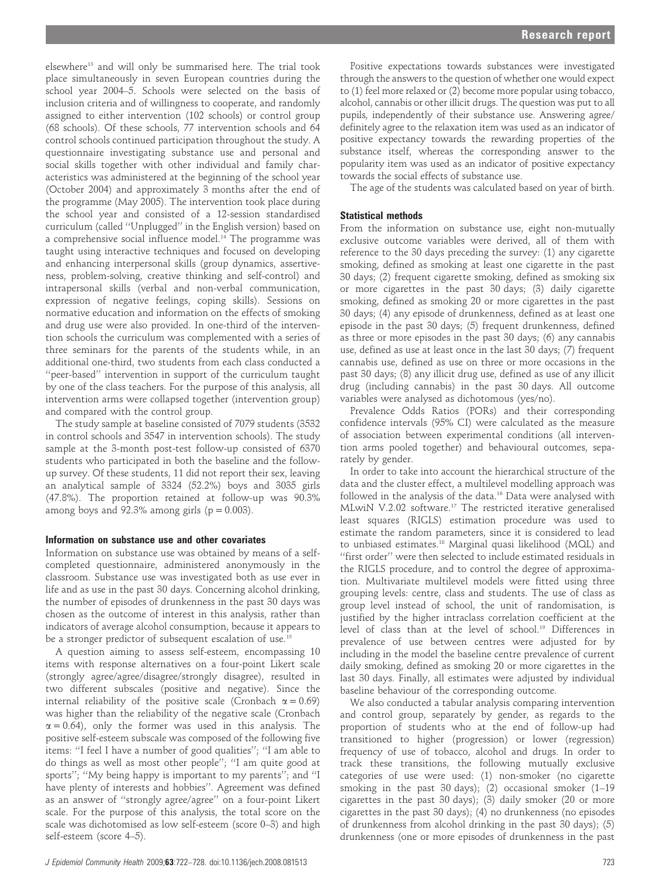elsewhere<sup>13</sup> and will only be summarised here. The trial took place simultaneously in seven European countries during the school year 2004–5. Schools were selected on the basis of inclusion criteria and of willingness to cooperate, and randomly assigned to either intervention (102 schools) or control group (68 schools). Of these schools, 77 intervention schools and 64 control schools continued participation throughout the study. A questionnaire investigating substance use and personal and social skills together with other individual and family characteristics was administered at the beginning of the school year (October 2004) and approximately 3 months after the end of the programme (May 2005). The intervention took place during the school year and consisted of a 12-session standardised curriculum (called ''Unplugged'' in the English version) based on a comprehensive social influence model.<sup>14</sup> The programme was taught using interactive techniques and focused on developing and enhancing interpersonal skills (group dynamics, assertiveness, problem-solving, creative thinking and self-control) and intrapersonal skills (verbal and non-verbal communication, expression of negative feelings, coping skills). Sessions on normative education and information on the effects of smoking and drug use were also provided. In one-third of the intervention schools the curriculum was complemented with a series of three seminars for the parents of the students while, in an additional one-third, two students from each class conducted a ''peer-based'' intervention in support of the curriculum taught by one of the class teachers. For the purpose of this analysis, all intervention arms were collapsed together (intervention group) and compared with the control group.

The study sample at baseline consisted of 7079 students (3532 in control schools and 3547 in intervention schools). The study sample at the 3-month post-test follow-up consisted of 6370 students who participated in both the baseline and the followup survey. Of these students, 11 did not report their sex, leaving an analytical sample of 3324 (52.2%) boys and 3035 girls (47.8%). The proportion retained at follow-up was 90.3% among boys and  $92.3\%$  among girls ( $p = 0.003$ ).

#### Information on substance use and other covariates

Information on substance use was obtained by means of a selfcompleted questionnaire, administered anonymously in the classroom. Substance use was investigated both as use ever in life and as use in the past 30 days. Concerning alcohol drinking, the number of episodes of drunkenness in the past 30 days was chosen as the outcome of interest in this analysis, rather than indicators of average alcohol consumption, because it appears to be a stronger predictor of subsequent escalation of use.<sup>15</sup>

A question aiming to assess self-esteem, encompassing 10 items with response alternatives on a four-point Likert scale (strongly agree/agree/disagree/strongly disagree), resulted in two different subscales (positive and negative). Since the internal reliability of the positive scale (Cronbach  $\alpha = 0.69$ ) was higher than the reliability of the negative scale (Cronbach  $\alpha = 0.64$ ), only the former was used in this analysis. The positive self-esteem subscale was composed of the following five items: ''I feel I have a number of good qualities''; ''I am able to do things as well as most other people''; ''I am quite good at sports''; ''My being happy is important to my parents''; and ''I have plenty of interests and hobbies''. Agreement was defined as an answer of ''strongly agree/agree'' on a four-point Likert scale. For the purpose of this analysis, the total score on the scale was dichotomised as low self-esteem (score 0–3) and high self-esteem (score 4–5).

Positive expectations towards substances were investigated through the answers to the question of whether one would expect to (1) feel more relaxed or (2) become more popular using tobacco, alcohol, cannabis or other illicit drugs. The question was put to all pupils, independently of their substance use. Answering agree/ definitely agree to the relaxation item was used as an indicator of positive expectancy towards the rewarding properties of the substance itself, whereas the corresponding answer to the popularity item was used as an indicator of positive expectancy towards the social effects of substance use.

The age of the students was calculated based on year of birth.

#### Statistical methods

From the information on substance use, eight non-mutually exclusive outcome variables were derived, all of them with reference to the 30 days preceding the survey: (1) any cigarette smoking, defined as smoking at least one cigarette in the past 30 days; (2) frequent cigarette smoking, defined as smoking six or more cigarettes in the past 30 days; (3) daily cigarette smoking, defined as smoking 20 or more cigarettes in the past 30 days; (4) any episode of drunkenness, defined as at least one episode in the past 30 days; (5) frequent drunkenness, defined as three or more episodes in the past 30 days; (6) any cannabis use, defined as use at least once in the last 30 days; (7) frequent cannabis use, defined as use on three or more occasions in the past 30 days; (8) any illicit drug use, defined as use of any illicit drug (including cannabis) in the past 30 days. All outcome variables were analysed as dichotomous (yes/no).

Prevalence Odds Ratios (PORs) and their corresponding confidence intervals (95% CI) were calculated as the measure of association between experimental conditions (all intervention arms pooled together) and behavioural outcomes, separately by gender.

In order to take into account the hierarchical structure of the data and the cluster effect, a multilevel modelling approach was followed in the analysis of the data.<sup>16</sup> Data were analysed with MLwiN V.2.02 software.17 The restricted iterative generalised least squares (RIGLS) estimation procedure was used to estimate the random parameters, since it is considered to lead to unbiased estimates.18 Marginal quasi likelihood (MQL) and ''first order'' were then selected to include estimated residuals in the RIGLS procedure, and to control the degree of approximation. Multivariate multilevel models were fitted using three grouping levels: centre, class and students. The use of class as group level instead of school, the unit of randomisation, is justified by the higher intraclass correlation coefficient at the level of class than at the level of school.19 Differences in prevalence of use between centres were adjusted for by including in the model the baseline centre prevalence of current daily smoking, defined as smoking 20 or more cigarettes in the last 30 days. Finally, all estimates were adjusted by individual baseline behaviour of the corresponding outcome.

We also conducted a tabular analysis comparing intervention and control group, separately by gender, as regards to the proportion of students who at the end of follow-up had transitioned to higher (progression) or lower (regression) frequency of use of tobacco, alcohol and drugs. In order to track these transitions, the following mutually exclusive categories of use were used: (1) non-smoker (no cigarette smoking in the past 30 days); (2) occasional smoker (1–19 cigarettes in the past 30 days); (3) daily smoker (20 or more cigarettes in the past 30 days); (4) no drunkenness (no episodes of drunkenness from alcohol drinking in the past 30 days); (5) drunkenness (one or more episodes of drunkenness in the past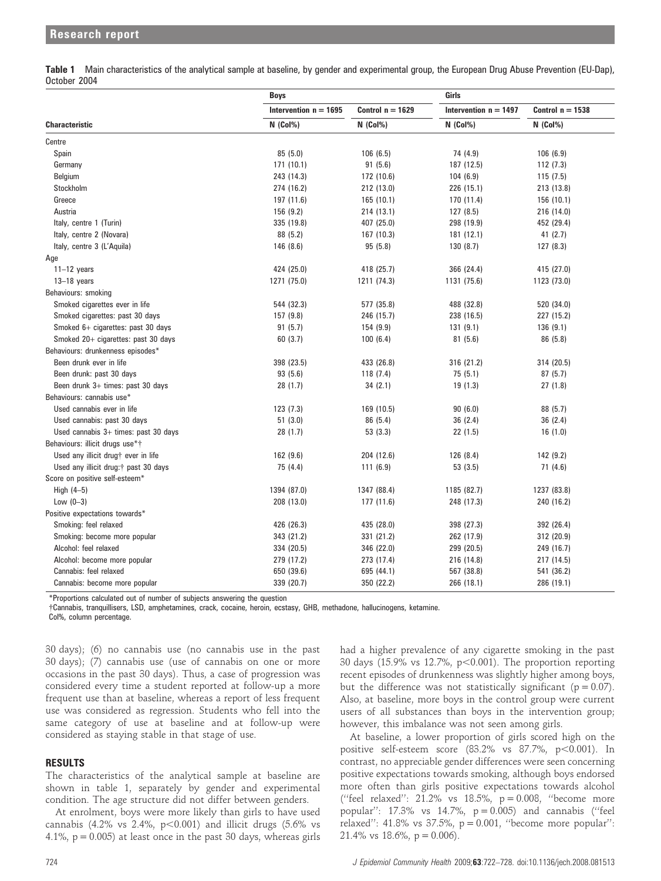Table 1 Main characteristics of the analytical sample at baseline, by gender and experimental group, the European Drug Abuse Prevention (EU-Dap), October 2004

|                                        | <b>Boys</b>             |                    | Girls                   |                                |  |
|----------------------------------------|-------------------------|--------------------|-------------------------|--------------------------------|--|
|                                        | Intervention $n = 1695$ | Control $n = 1629$ | Intervention $n = 1497$ | Control $n = 1538$<br>N (Col%) |  |
| <b>Characteristic</b>                  | $N$ (Col%)              | $N$ (Col%)         | $N$ (Col%)              |                                |  |
| Centre                                 |                         |                    |                         |                                |  |
| Spain                                  | 85(5.0)                 | 106(6.5)           | 74 (4.9)                | 106(6.9)                       |  |
| Germany                                | 171(10.1)               | 91(5.6)            | 187 (12.5)              | 112(7.3)                       |  |
| Belgium                                | 243 (14.3)              | 172 (10.6)         | 104(6.9)                | 115(7.5)                       |  |
| Stockholm                              | 274 (16.2)              | 212 (13.0)         | 226 (15.1)              | 213 (13.8)                     |  |
| Greece                                 | 197 (11.6)              | 165(10.1)          | 170 (11.4)              | 156(10.1)                      |  |
| Austria                                | 156 (9.2)               | 214 (13.1)         | 127(8.5)                | 216 (14.0)                     |  |
| Italy, centre 1 (Turin)                | 335 (19.8)              | 407 (25.0)         | 298 (19.9)              | 452 (29.4)                     |  |
| Italy, centre 2 (Novara)               | 88 (5.2)                | 167 (10.3)         | 181 (12.1)              | 41(2.7)                        |  |
| Italy, centre 3 (L'Aquila)             | 146(8.6)                | 95(5.8)            | 130(8.7)                | 127(8.3)                       |  |
| Age                                    |                         |                    |                         |                                |  |
| $11-12$ years                          | 424 (25.0)              | 418 (25.7)         | 366 (24.4)              | 415 (27.0)                     |  |
| $13-18$ years                          | 1271 (75.0)             | 1211 (74.3)        | 1131 (75.6)             | 1123 (73.0)                    |  |
| Behaviours: smoking                    |                         |                    |                         |                                |  |
| Smoked cigarettes ever in life         | 544 (32.3)              | 577 (35.8)         | 488 (32.8)              | 520 (34.0)                     |  |
| Smoked cigarettes: past 30 days        | 157 (9.8)               | 246 (15.7)         | 238 (16.5)              | 227 (15.2)                     |  |
| Smoked 6+ cigarettes: past 30 days     | 91(5.7)                 | 154(9.9)           | 131(9.1)                | 136(9.1)                       |  |
| Smoked 20+ cigarettes: past 30 days    | 60(3.7)                 | 100(6.4)           | 81(5.6)                 | 86 (5.8)                       |  |
| Behaviours: drunkenness episodes*      |                         |                    |                         |                                |  |
| Been drunk ever in life                | 398 (23.5)              | 433 (26.8)         | 316 (21.2)              | 314 (20.5)                     |  |
| Been drunk: past 30 days               | 93(5.6)                 | 118(7.4)           | 75(5.1)                 | 87(5.7)                        |  |
| Been drunk 3+ times: past 30 days      | 28(1.7)                 | 34(2.1)            | 19(1.3)                 | 27(1.8)                        |  |
| Behaviours: cannabis use*              |                         |                    |                         |                                |  |
| Used cannabis ever in life             | 123(7.3)                | 169 (10.5)         | 90(6.0)                 | 88 (5.7)                       |  |
| Used cannabis: past 30 days            | 51(3.0)                 | 86 (5.4)           | 36(2.4)                 | 36(2.4)                        |  |
| Used cannabis $3+$ times: past 30 days | 28 (1.7)                | 53(3.3)            | 22(1.5)                 | 16(1.0)                        |  |
| Behaviours: illicit drugs use*†        |                         |                    |                         |                                |  |
| Used any illicit drug† ever in life    | 162(9.6)                | 204 (12.6)         | 126 (8.4)               | 142 (9.2)                      |  |
| Used any illicit drug:† past 30 days   | 75 (4.4)                | 111(6.9)           | 53(3.5)                 | 71 (4.6)                       |  |
| Score on positive self-esteem*         |                         |                    |                         |                                |  |
| High $(4-5)$                           | 1394 (87.0)             | 1347 (88.4)        | 1185 (82.7)             | 1237 (83.8)                    |  |
| Low $(0-3)$                            | 208 (13.0)              | 177 (11.6)         | 248 (17.3)              | 240 (16.2)                     |  |
| Positive expectations towards*         |                         |                    |                         |                                |  |
| Smoking: feel relaxed                  | 426 (26.3)              | 435 (28.0)         | 398 (27.3)              | 392 (26.4)                     |  |
| Smoking: become more popular           | 343 (21.2)              | 331 (21.2)         | 262 (17.9)              | 312 (20.9)                     |  |
| Alcohol: feel relaxed                  | 334 (20.5)              | 346 (22.0)         | 299 (20.5)              | 249 (16.7)                     |  |
| Alcohol: become more popular           | 279 (17.2)              | 273 (17.4)         | 216 (14.8)              | 217 (14.5)                     |  |
| Cannabis: feel relaxed                 | 650 (39.6)              | 695 (44.1)         | 567 (38.8)              | 541 (36.2)                     |  |
| Cannabis: become more popular          | 339 (20.7)              | 350 (22.2)         | 266 (18.1)              | 286 (19.1)                     |  |

\*Proportions calculated out of number of subjects answering the question

{Cannabis, tranquillisers, LSD, amphetamines, crack, cocaine, heroin, ecstasy, GHB, methadone, hallucinogens, ketamine.

Col%, column percentage.

30 days); (6) no cannabis use (no cannabis use in the past 30 days); (7) cannabis use (use of cannabis on one or more occasions in the past 30 days). Thus, a case of progression was considered every time a student reported at follow-up a more frequent use than at baseline, whereas a report of less frequent use was considered as regression. Students who fell into the same category of use at baseline and at follow-up were considered as staying stable in that stage of use.

#### RESULTS

The characteristics of the analytical sample at baseline are shown in table 1, separately by gender and experimental condition. The age structure did not differ between genders.

At enrolment, boys were more likely than girls to have used cannabis (4.2% vs 2.4%,  $p<0.001$ ) and illicit drugs (5.6% vs 4.1%,  $p = 0.005$ ) at least once in the past 30 days, whereas girls had a higher prevalence of any cigarette smoking in the past 30 days (15.9% vs 12.7%,  $p<0.001$ ). The proportion reporting recent episodes of drunkenness was slightly higher among boys, but the difference was not statistically significant ( $p = 0.07$ ). Also, at baseline, more boys in the control group were current users of all substances than boys in the intervention group; however, this imbalance was not seen among girls.

At baseline, a lower proportion of girls scored high on the positive self-esteem score (83.2% vs 87.7%,  $p<0.001$ ). In contrast, no appreciable gender differences were seen concerning positive expectations towards smoking, although boys endorsed more often than girls positive expectations towards alcohol ("feel relaxed":  $21.2\%$  vs  $18.5\%$ ,  $p = 0.008$ , "become more popular": 17.3% vs 14.7%,  $p = 0.005$ ) and cannabis ("feel relaxed'': 41.8% vs 37.5%, p = 0.001, ''become more popular'': 21.4% vs 18.6%,  $p = 0.006$ .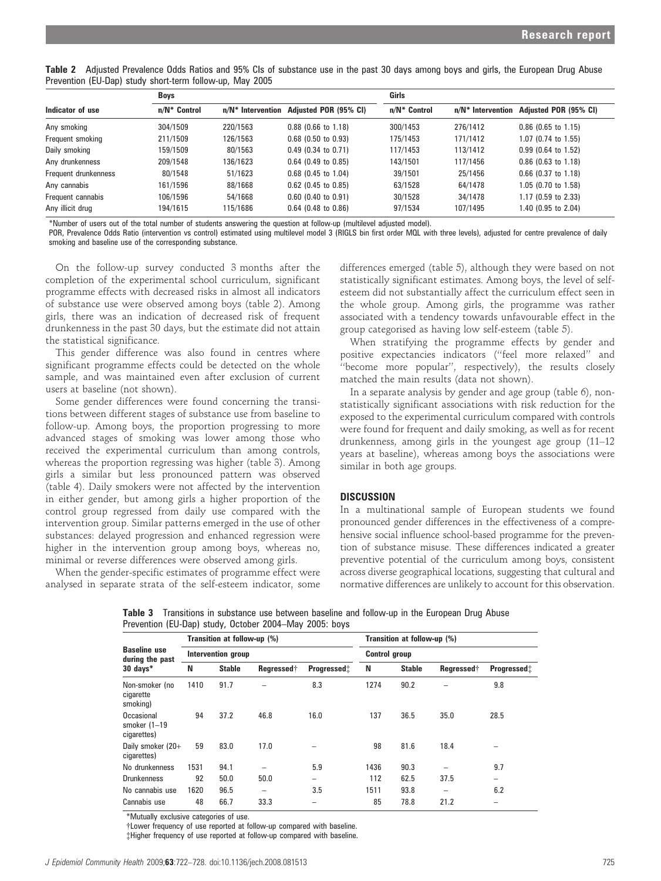Table 2 Adjusted Prevalence Odds Ratios and 95% CIs of substance use in the past 30 days among boys and girls, the European Drug Abuse Prevention (EU-Dap) study short-term follow-up, May 2005

|                      | <b>Boys</b>     |          |                                         | Girls           |                      |                          |  |  |
|----------------------|-----------------|----------|-----------------------------------------|-----------------|----------------------|--------------------------|--|--|
| Indicator of use     | $n/N^*$ Control |          | n/N* Intervention Adjusted POR (95% CI) | $n/N^*$ Control | $n/N^*$ Intervention | Adjusted POR (95% CI)    |  |  |
| Any smoking          | 304/1509        | 220/1563 | $0.88$ (0.66 to 1.18)                   | 300/1453        | 276/1412             | $0.86$ (0.65 to 1.15)    |  |  |
| Frequent smoking     | 211/1509        | 126/1563 | $0.68$ (0.50 to 0.93)                   | 175/1453        | 171/1412             | $1.07$ (0.74 to 1.55)    |  |  |
| Daily smoking        | 159/1509        | 80/1563  | $0.49$ (0.34 to 0.71)                   | 117/1453        | 113/1412             | $0.99$ (0.64 to 1.52)    |  |  |
| Any drunkenness      | 209/1548        | 136/1623 | $0.64$ (0.49 to 0.85)                   | 143/1501        | 117/1456             | $0.86$ (0.63 to 1.18)    |  |  |
| Frequent drunkenness | 80/1548         | 51/1623  | $0.68$ (0.45 to 1.04)                   | 39/1501         | 25/1456              | $0.66$ (0.37 to 1.18)    |  |  |
| Any cannabis         | 161/1596        | 88/1668  | $0.62$ (0.45 to 0.85)                   | 63/1528         | 64/1478              | $1.05$ (0.70 to $1.58$ ) |  |  |
| Frequent cannabis    | 106/1596        | 54/1668  | $0.60$ (0.40 to 0.91)                   | 30/1528         | 34/1478              | $1.17$ (0.59 to 2.33)    |  |  |
| Any illicit drug     | 194/1615        | 115/1686 | $0.64$ (0.48 to 0.86)                   | 97/1534         | 107/1495             | 1.40 (0.95 to 2.04)      |  |  |

\*Number of users out of the total number of students answering the question at follow-up (multilevel adjusted model).

POR, Prevalence Odds Ratio (intervention vs control) estimated using multilevel model 3 (RIGLS bin first order MOL with three levels), adjusted for centre prevalence of daily smoking and baseline use of the corresponding substance.

On the follow-up survey conducted 3 months after the completion of the experimental school curriculum, significant programme effects with decreased risks in almost all indicators of substance use were observed among boys (table 2). Among girls, there was an indication of decreased risk of frequent drunkenness in the past 30 days, but the estimate did not attain the statistical significance.

This gender difference was also found in centres where significant programme effects could be detected on the whole sample, and was maintained even after exclusion of current users at baseline (not shown).

Some gender differences were found concerning the transitions between different stages of substance use from baseline to follow-up. Among boys, the proportion progressing to more advanced stages of smoking was lower among those who received the experimental curriculum than among controls, whereas the proportion regressing was higher (table 3). Among girls a similar but less pronounced pattern was observed (table 4). Daily smokers were not affected by the intervention in either gender, but among girls a higher proportion of the control group regressed from daily use compared with the intervention group. Similar patterns emerged in the use of other substances: delayed progression and enhanced regression were higher in the intervention group among boys, whereas no, minimal or reverse differences were observed among girls.

When the gender-specific estimates of programme effect were analysed in separate strata of the self-esteem indicator, some

differences emerged (table 5), although they were based on not statistically significant estimates. Among boys, the level of selfesteem did not substantially affect the curriculum effect seen in the whole group. Among girls, the programme was rather associated with a tendency towards unfavourable effect in the group categorised as having low self-esteem (table 5).

When stratifying the programme effects by gender and positive expectancies indicators (''feel more relaxed'' and ''become more popular'', respectively), the results closely matched the main results (data not shown).

In a separate analysis by gender and age group (table 6), nonstatistically significant associations with risk reduction for the exposed to the experimental curriculum compared with controls were found for frequent and daily smoking, as well as for recent drunkenness, among girls in the youngest age group (11–12 years at baseline), whereas among boys the associations were similar in both age groups.

#### **DISCUSSION**

In a multinational sample of European students we found pronounced gender differences in the effectiveness of a comprehensive social influence school-based programme for the prevention of substance misuse. These differences indicated a greater preventive potential of the curriculum among boys, consistent across diverse geographical locations, suggesting that cultural and normative differences are unlikely to account for this observation.

Table 3 Transitions in substance use between baseline and follow-up in the European Drug Abuse Prevention (EU-Dap) study, October 2004–May 2005: boys

|                                              |      | Transition at follow-up (%) |            |                          | Transition at follow-up (%) |                      |                        |             |  |  |
|----------------------------------------------|------|-----------------------------|------------|--------------------------|-----------------------------|----------------------|------------------------|-------------|--|--|
| <b>Baseline use</b><br>during the past       |      | Intervention group          |            |                          |                             | <b>Control group</b> |                        |             |  |  |
| $30$ days*                                   | N    | <b>Stable</b>               | Regressed† | <b>Progressed</b> :      | N                           | <b>Stable</b>        | Regressed <sup>†</sup> | Progressed: |  |  |
| Non-smoker (no<br>cigarette<br>smoking)      | 1410 | 91.7                        |            | 8.3                      | 1274                        | 90.2                 |                        | 9.8         |  |  |
| Occasional<br>smoker $(1-19)$<br>cigarettes) | 94   | 37.2                        | 46.8       | 16.0                     | 137                         | 36.5                 | 35.0                   | 28.5        |  |  |
| Daily smoker (20+<br>cigarettes)             | 59   | 83.0                        | 17.0       |                          | 98                          | 81.6                 | 18.4                   |             |  |  |
| No drunkenness                               | 1531 | 94.1                        |            | 5.9                      | 1436                        | 90.3                 |                        | 9.7         |  |  |
| <b>Drunkenness</b>                           | 92   | 50.0                        | 50.0       | $\overline{\phantom{a}}$ | 112                         | 62.5                 | 37.5                   | -           |  |  |
| No cannabis use                              | 1620 | 96.5                        | -          | 3.5                      | 1511                        | 93.8                 | -                      | 6.2         |  |  |
| Cannabis use                                 | 48   | 66.7                        | 33.3       |                          | 85                          | 78.8                 | 21.2                   |             |  |  |
|                                              |      |                             |            |                          |                             |                      |                        |             |  |  |

\*Mutually exclusive categories of use.

{Lower frequency of use reported at follow-up compared with baseline.

{Higher frequency of use reported at follow-up compared with baseline.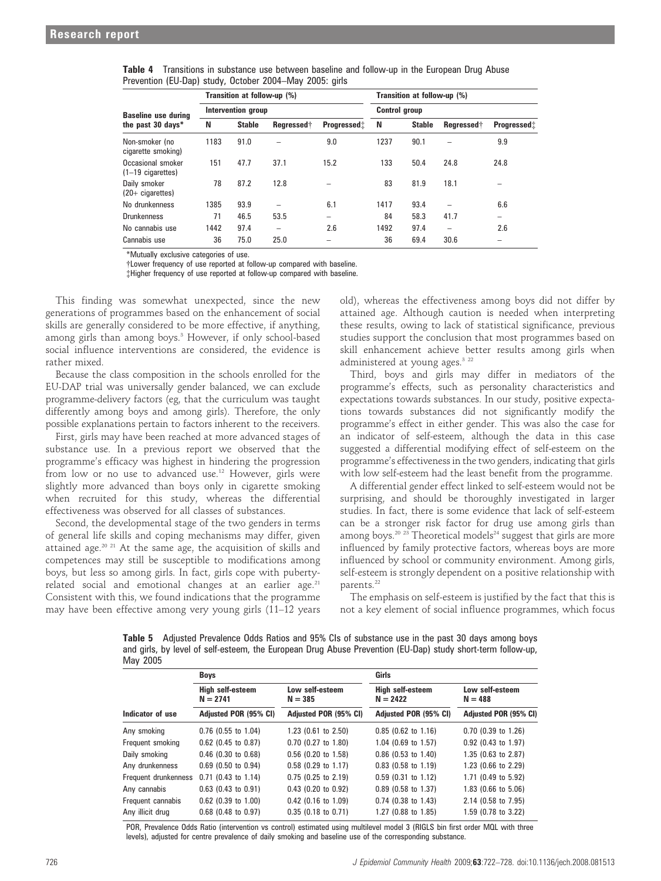| Transition at follow-up (%)              |                    |               |                          |                     | Transition at follow-up (%) |                      |            |                     |  |  |
|------------------------------------------|--------------------|---------------|--------------------------|---------------------|-----------------------------|----------------------|------------|---------------------|--|--|
| <b>Baseline use during</b>               | Intervention group |               |                          |                     |                             | <b>Control group</b> |            |                     |  |  |
| the past 30 days*                        | N                  | <b>Stable</b> | Rearessed†               | <b>Progressed</b> : | N                           | <b>Stable</b>        | Regressed† | <b>Progressed</b> : |  |  |
| Non-smoker (no<br>cigarette smoking)     | 1183               | 91.0          |                          | 9.0                 | 1237                        | 90.1                 |            | 9.9                 |  |  |
| Occasional smoker<br>$(1-19$ cigarettes) | 151                | 47.7          | 37.1                     | 15.2                | 133                         | 50.4                 | 24.8       | 24.8                |  |  |
| Daily smoker<br>$(20 +$ cigarettes)      | 78                 | 87.2          | 12.8                     |                     | 83                          | 81.9                 | 18.1       |                     |  |  |
| No drunkenness                           | 1385               | 93.9          | -                        | 6.1                 | 1417                        | 93.4                 |            | 6.6                 |  |  |
| <b>Drunkenness</b>                       | 71                 | 46.5          | 53.5                     | -                   | 84                          | 58.3                 | 41.7       | -                   |  |  |
| No cannabis use                          | 1442               | 97.4          | $\overline{\phantom{a}}$ | 2.6                 | 1492                        | 97.4                 | -          | 2.6                 |  |  |
| Cannabis use                             | 36                 | 75.0          | 25.0                     | -                   | 36                          | 69.4                 | 30.6       | -                   |  |  |

| Table 4 Transitions in substance use between baseline and follow-up in the European Drug Abuse |  |  |  |  |  |  |
|------------------------------------------------------------------------------------------------|--|--|--|--|--|--|
| Prevention (EU-Dap) study, October 2004–May 2005: girls                                        |  |  |  |  |  |  |

\*Mutually exclusive categories of use.

{Lower frequency of use reported at follow-up compared with baseline.

{Higher frequency of use reported at follow-up compared with baseline.

This finding was somewhat unexpected, since the new generations of programmes based on the enhancement of social skills are generally considered to be more effective, if anything, among girls than among boys.<sup>3</sup> However, if only school-based social influence interventions are considered, the evidence is rather mixed.

Because the class composition in the schools enrolled for the EU-DAP trial was universally gender balanced, we can exclude programme-delivery factors (eg, that the curriculum was taught differently among boys and among girls). Therefore, the only possible explanations pertain to factors inherent to the receivers.

First, girls may have been reached at more advanced stages of substance use. In a previous report we observed that the programme's efficacy was highest in hindering the progression from low or no use to advanced use.12 However, girls were slightly more advanced than boys only in cigarette smoking when recruited for this study, whereas the differential effectiveness was observed for all classes of substances.

Second, the developmental stage of the two genders in terms of general life skills and coping mechanisms may differ, given attained age.<sup>20 21</sup> At the same age, the acquisition of skills and competences may still be susceptible to modifications among boys, but less so among girls. In fact, girls cope with pubertyrelated social and emotional changes at an earlier age. $21$ Consistent with this, we found indications that the programme may have been effective among very young girls (11–12 years

old), whereas the effectiveness among boys did not differ by attained age. Although caution is needed when interpreting these results, owing to lack of statistical significance, previous studies support the conclusion that most programmes based on skill enhancement achieve better results among girls when administered at young ages.<sup>3 22</sup>

Third, boys and girls may differ in mediators of the programme's effects, such as personality characteristics and expectations towards substances. In our study, positive expectations towards substances did not significantly modify the programme's effect in either gender. This was also the case for an indicator of self-esteem, although the data in this case suggested a differential modifying effect of self-esteem on the programme's effectiveness in the two genders, indicating that girls with low self-esteem had the least benefit from the programme.

A differential gender effect linked to self-esteem would not be surprising, and should be thoroughly investigated in larger studies. In fact, there is some evidence that lack of self-esteem can be a stronger risk factor for drug use among girls than among boys.<sup>20 23</sup> Theoretical models<sup>24</sup> suggest that girls are more influenced by family protective factors, whereas boys are more influenced by school or community environment. Among girls, self-esteem is strongly dependent on a positive relationship with parents.<sup>22</sup>

The emphasis on self-esteem is justified by the fact that this is not a key element of social influence programmes, which focus

Table 5 Adjusted Prevalence Odds Ratios and 95% CIs of substance use in the past 30 days among boys and girls, by level of self-esteem, the European Drug Abuse Prevention (EU-Dap) study short-term follow-up, May 2005

| $$ $-$               | Boys                           |                              | Girls                          |                              |  |
|----------------------|--------------------------------|------------------------------|--------------------------------|------------------------------|--|
|                      | High self-esteem<br>$N = 2741$ | Low self-esteem<br>$N = 385$ | High self-esteem<br>$N = 2422$ | Low self-esteem<br>$N = 488$ |  |
| Indicator of use     | Adjusted POR (95% CI)          | Adjusted POR (95% CI)        | Adjusted POR (95% CI)          | Adjusted POR (95% CI)        |  |
| Any smoking          | $0.76$ (0.55 to 1.04)          | 1.23 (0.61 to 2.50)          | $0.85$ (0.62 to 1.16)          | $0.70$ (0.39 to 1.26)        |  |
| Frequent smoking     | $0.62$ (0.45 to 0.87)          | $0.70$ (0.27 to 1.80)        | 1.04 (0.69 to 1.57)            | $0.92$ (0.43 to 1.97)        |  |
| Daily smoking        | $0.46$ (0.30 to 0.68)          | 0.56 (0.20 to 1.58)          | $0.86$ (0.53 to 1.40)          | 1.35 (0.63 to 2.87)          |  |
| Any drunkenness      | $0.69$ (0.50 to 0.94)          | $0.58$ (0.29 to 1.17)        | $0.83$ (0.58 to 1.19)          | 1.23 (0.66 to 2.29)          |  |
| Frequent drunkenness | $0.71$ (0.43 to 1.14)          | $0.75$ (0.25 to 2.19)        | 0.59 (0.31 to 1.12)            | 1.71 (0.49 to 5.92)          |  |
| Any cannabis         | $0.63$ (0.43 to 0.91)          | $0.43$ (0.20 to 0.92)        | $0.89$ (0.58 to 1.37)          | 1.83 (0.66 to 5.06)          |  |
| Frequent cannabis    | $0.62$ (0.39 to 1.00)          | $0.42$ (0.16 to 1.09)        | $0.74$ (0.38 to 1.43)          | 2.14 (0.58 to 7.95)          |  |
| Any illicit drug     | $0.68$ (0.48 to 0.97)          | $0.35$ (0.18 to 0.71)        | 1.27 (0.88 to 1.85)            | 1.59 (0.78 to 3.22)          |  |

POR, Prevalence Odds Ratio (intervention vs control) estimated using multilevel model 3 (RIGLS bin first order MQL with three levels), adjusted for centre prevalence of daily smoking and baseline use of the corresponding substance.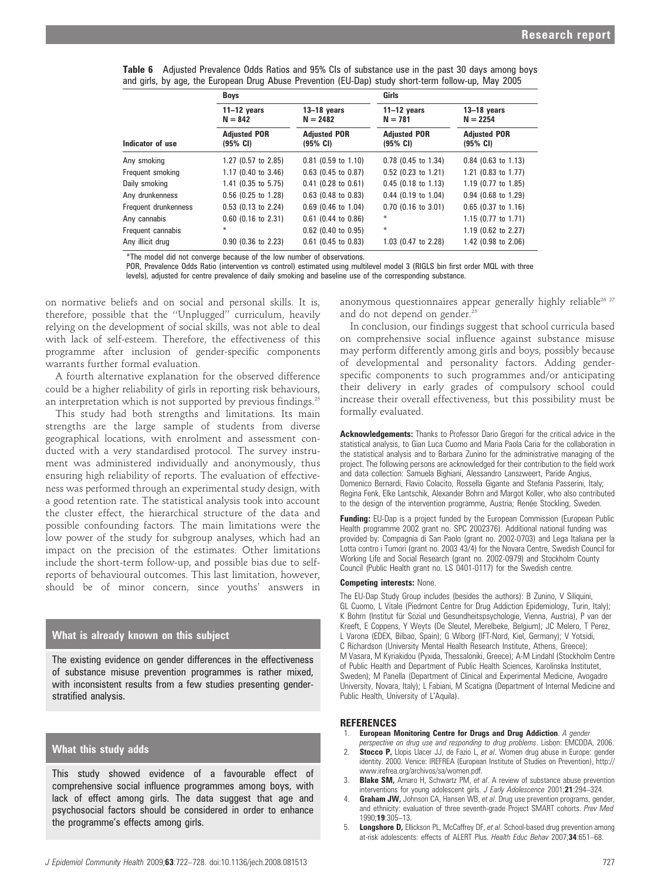|  | <b>Table 6</b> Adjusted Prevalence Odds Ratios and 95% Cls of substance use in the past 30 days among boys |  |
|--|------------------------------------------------------------------------------------------------------------|--|
|  | and girls, by age, the European Drug Abuse Prevention (EU-Dap) study short-term follow-up, May 2005        |  |

|                      | <b>Boys</b>                                 |                                             | Girls                                       |                                             |  |  |  |
|----------------------|---------------------------------------------|---------------------------------------------|---------------------------------------------|---------------------------------------------|--|--|--|
|                      | $11-12$ years<br>$N = 842$                  | $13-18$ years<br>$N = 2482$                 | $11-12$ years<br>$N = 781$                  | $13-18$ years<br>$N = 2254$                 |  |  |  |
| Indicator of use     | <b>Adjusted POR</b><br>$(95% \; \text{Cl})$ | <b>Adjusted POR</b><br>$(95% \; \text{Cl})$ | <b>Adjusted POR</b><br>$(95% \; \text{CI})$ | <b>Adjusted POR</b><br>$(95% \; \text{CI})$ |  |  |  |
| Any smoking          | 1.27 (0.57 to 2.85)                         | $0.81$ (0.59 to 1.10)                       | $0.78$ (0.45 to 1.34)                       | $0.84$ (0.63 to 1.13)                       |  |  |  |
| Frequent smoking     | 1.17 (0.40 to 3.46)                         | $0.63$ (0.45 to 0.87)                       | $0.52$ (0.23 to 1.21)                       | 1.21 (0.83 to 1.77)                         |  |  |  |
| Daily smoking        | $1.41$ (0.35 to 5.75)                       | $0.41$ (0.28 to 0.61)                       | $0.45$ (0.18 to 1.13)                       | 1.19 (0.77 to 1.85)                         |  |  |  |
| Any drunkenness      | $0.56$ (0.25 to 1.28)                       | $0.63$ (0.48 to 0.83)                       | $0.44$ (0.19 to 1.04)                       | $0.94$ (0.68 to 1.29)                       |  |  |  |
| Frequent drunkenness | $0.53$ (0.13 to 2.24)                       | $0.69$ (0.46 to 1.04)                       | $0.70$ (0.16 to 3.01)                       | $0.65$ (0.37 to 1.16)                       |  |  |  |
| Any cannabis         | $0.60$ (0.16 to 2.31)                       | $0.61$ (0.44 to 0.86)                       | ⋇                                           | 1.15 (0.77 to 1.71)                         |  |  |  |
| Frequent cannabis    | ₩                                           | $0.62$ (0.40 to 0.95)                       | ₩                                           | 1.19 (0.62 to 2.27)                         |  |  |  |
| Any illicit drug     | $0.90$ (0.36 to 2.23)                       | $0.61$ (0.45 to 0.83)                       | 1.03 (0.47 to 2.28)                         | 1.42 (0.98 to 2.06)                         |  |  |  |

\*The model did not converge because of the low number of observations.

POR, Prevalence Odds Ratio (intervention vs control) estimated using multilevel model 3 (RIGLS bin first order MQL with three levels), adjusted for centre prevalence of daily smoking and baseline use of the corresponding substance.

on normative beliefs and on social and personal skills. It is, therefore, possible that the ''Unplugged'' curriculum, heavily relying on the development of social skills, was not able to deal with lack of self-esteem. Therefore, the effectiveness of this programme after inclusion of gender-specific components warrants further formal evaluation.

A fourth alternative explanation for the observed difference could be a higher reliability of girls in reporting risk behaviours, an interpretation which is not supported by previous findings.<sup>25</sup>

This study had both strengths and limitations. Its main strengths are the large sample of students from diverse geographical locations, with enrolment and assessment conducted with a very standardised protocol. The survey instrument was administered individually and anonymously, thus ensuring high reliability of reports. The evaluation of effectiveness was performed through an experimental study design, with a good retention rate. The statistical analysis took into account the cluster effect, the hierarchical structure of the data and possible confounding factors. The main limitations were the low power of the study for subgroup analyses, which had an impact on the precision of the estimates. Other limitations include the short-term follow-up, and possible bias due to selfreports of behavioural outcomes. This last limitation, however, should be of minor concern, since youths' answers in

#### What is already known on this subject

The existing evidence on gender differences in the effectiveness of substance misuse prevention programmes is rather mixed, with inconsistent results from a few studies presenting genderstratified analysis.

## What this study adds

This study showed evidence of a favourable effect of comprehensive social influence programmes among boys, with lack of effect among girls. The data suggest that age and psychosocial factors should be considered in order to enhance the programme's effects among girls.

anonymous questionnaires appear generally highly reliable<sup>26 27</sup> and do not depend on gender.<sup>25</sup>

In conclusion, our findings suggest that school curricula based on comprehensive social influence against substance misuse may perform differently among girls and boys, possibly because of developmental and personality factors. Adding genderspecific components to such programmes and/or anticipating their delivery in early grades of compulsory school could increase their overall effectiveness, but this possibility must be formally evaluated.

Acknowledgements: Thanks to Professor Dario Gregori for the critical advice in the statistical analysis, to Gian Luca Cuomo and Maria Paola Caria for the collaboration in the statistical analysis and to Barbara Zunino for the administrative managing of the project. The following persons are acknowledged for their contribution to the field work and data collection: Samuela Bighiani, Alessandro Lanszweert, Paride Angius, Domenico Bernardi, Flavio Colacito, Rossella Gigante and Stefania Passerini, Italy; Regina Fenk, Elke Lantschik, Alexander Bohrn and Margot Koller, who also contributed to the design of the intervention programme, Austria; Renée Stockling, Sweden.

Funding: EU-Dap is a project funded by the European Commission (European Public Health programme 2002 grant no. SPC 2002376). Additional national funding was provided by: Compagnia di San Paolo (grant no. 2002-0703) and Lega Italiana per la Lotta contro i Tumori (grant no. 2003 43/4) for the Novara Centre, Swedish Council for Working Life and Social Research (grant no. 2002-0979) and Stockholm County Council (Public Health grant no. LS 0401-0117) for the Swedish centre.

#### Competing interests: None.

The EU-Dap Study Group includes (besides the authors): B Zunino, V Siliquini, GL Cuomo, L Vitale (Piedmont Centre for Drug Addiction Epidemiology, Turin, Italy); K Bohrn (Institut für Sozial und Gesundheitspsychologie, Vienna, Austria), P van der Kreeft, E Coppens, Y Weyts (De Sleutel, Merelbeke, Belgium); JC Melero, T Perez, L Varona (EDEX, Bilbao, Spain); G Wiborg (IFT-Nord, Kiel, Germany); V Yotsidi, C Richardson (University Mental Health Research Institute, Athens, Greece); M Vasara, M Kyriakidou (Pyxida, Thessaloniki, Greece); A-M Lindahl (Stockholm Centre of Public Health and Department of Public Health Sciences, Karolinska Institutet, Sweden); M Panella (Department of Clinical and Experimental Medicine, Avogadro University, Novara, Italy); L Fabiani, M Scatigna (Department of Internal Medicine and Public Health, University of L'Aquila).

#### **REFERENCES**

- **European Monitoring Centre for Drugs and Drug Addiction**. A gender
- perspective on drug use and responding to drug problems. Lisbon: EMCDDA, 2006. **Stocco P,** Llopis Llacer JJ, de Fazio L, et al. Women drug abuse in Europe: gender identity. 2000. Venice: IREFREA (European Institute of Studies on Prevention), http:// www.irefrea.org/archivos/sa/women.pdf.
- Blake SM, Amaro H, Schwartz PM, et al. A review of substance abuse prevention interventions for young adolescent girls. J Early Adolescence 2001;21:294-324.
- **Graham JW,** Johnson CA, Hansen WB, et al. Drug use prevention programs, gender, and ethnicity: evaluation of three seventh-grade Project SMART cohorts. Prev Med 1990;19:305–13.
- **Longshore D, Ellickson PL, McCaffrey DF, et al. School-based drug prevention among** at-risk adolescents: effects of ALERT Plus. Health Educ Behav 2007;34:651–68.